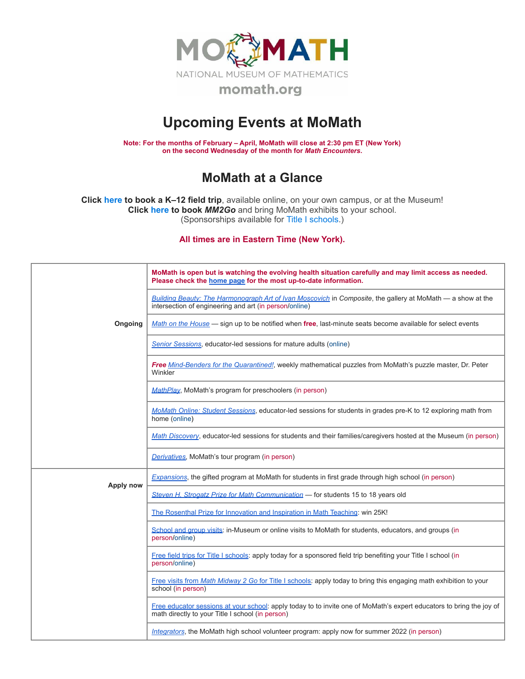

## **Upcoming Events at MoMath**

**Note: For the months of February – April, MoMath will close at 2:30 pm ET (New York) on the second Wednesday of the month for** *Math [Encounters](http://mathencounters.org/)***.**

## **MoMath at a Glance**

**Click [here](http://fieldtrips.momath.org/) to book a K–12 field trip**, available online, on your own campus, or at the Museum! **Click [here](http://mm2go.momath.org/) to book** *MM2Go* and bring MoMath exhibits to your school. (Sponsorships available for Title I [schools.](http://titleone.momath.org/))

**All times are in Eastern Time (New York).**

|           | MoMath is open but is watching the evolving health situation carefully and may limit access as needed.<br>Please check the home page for the most up-to-date information. |
|-----------|---------------------------------------------------------------------------------------------------------------------------------------------------------------------------|
|           | Building Beauty: The Harmonograph Art of Ivan Moscovich in Composite, the gallery at MoMath — a show at the<br>intersection of engineering and art (in person/online)     |
| Ongoing   | Math on the House — sign up to be notified when free, last-minute seats become available for select events                                                                |
|           | Senior Sessions, educator-led sessions for mature adults (online)                                                                                                         |
|           | Free Mind-Benders for the Quarantined!, weekly mathematical puzzles from MoMath's puzzle master, Dr. Peter<br>Winkler                                                     |
|           | MathPlay, MoMath's program for preschoolers (in person)                                                                                                                   |
|           | MoMath Online: Student Sessions, educator-led sessions for students in grades pre-K to 12 exploring math from<br>home (online)                                            |
|           | Math Discovery, educator-led sessions for students and their families/caregivers hosted at the Museum (in person)                                                         |
|           | Derivatives, MoMath's tour program (in person)                                                                                                                            |
| Apply now | Expansions, the gifted program at MoMath for students in first grade through high school (in person)                                                                      |
|           | Steven H. Strogatz Prize for Math Communication - for students 15 to 18 years old                                                                                         |
|           | The Rosenthal Prize for Innovation and Inspiration in Math Teaching: win 25K!                                                                                             |
|           | School and group visits: in-Museum or online visits to MoMath for students, educators, and groups (in<br>person/online)                                                   |
|           | Free field trips for Title I schools: apply today for a sponsored field trip benefiting your Title I school (in<br>person/online)                                         |
|           | Free visits from Math Midway 2 Go for Title I schools: apply today to bring this engaging math exhibition to your<br>school (in person)                                   |
|           | Free educator sessions at your school: apply today to to invite one of MoMath's expert educators to bring the joy of<br>math directly to your Title I school (in person)  |
|           | Integrators, the MoMath high school volunteer program: apply now for summer 2022 (in person)                                                                              |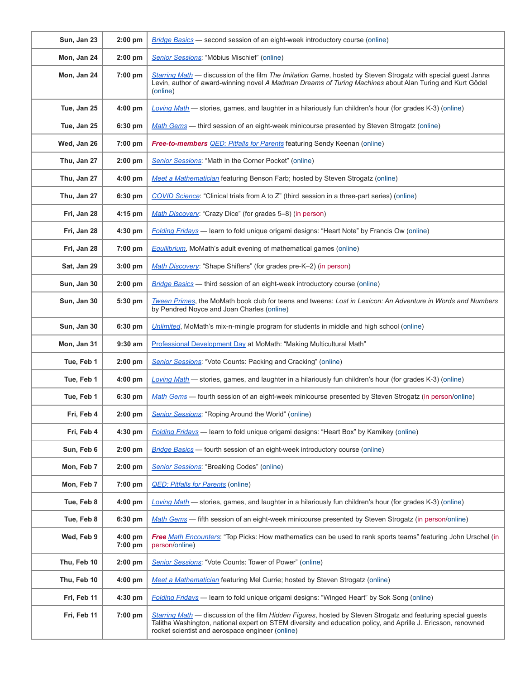| Sun, Jan 23 | $2:00$ pm                      | Bridge Basics — second session of an eight-week introductory course (online)                                                                                                                                                                                                       |
|-------------|--------------------------------|------------------------------------------------------------------------------------------------------------------------------------------------------------------------------------------------------------------------------------------------------------------------------------|
| Mon, Jan 24 | $2:00$ pm                      | Senior Sessions: "Möbius Mischief" (online)                                                                                                                                                                                                                                        |
| Mon, Jan 24 | 7:00 pm                        | Starring Math — discussion of the film The Imitation Game, hosted by Steven Strogatz with special guest Janna<br>Levin, author of award-winning novel A Madman Dreams of Turing Machines about Alan Turing and Kurt Gödel<br>(online)                                              |
| Tue, Jan 25 | $4:00$ pm                      | Loving Math — stories, games, and laughter in a hilariously fun children's hour (for grades K-3) (online)                                                                                                                                                                          |
| Tue, Jan 25 | 6:30 pm                        | Math Gems — third session of an eight-week minicourse presented by Steven Strogatz (online)                                                                                                                                                                                        |
| Wed, Jan 26 | 7:00 pm                        | <b>Free-to-members QED: Pitfalls for Parents</b> featuring Sendy Keenan (online)                                                                                                                                                                                                   |
| Thu, Jan 27 | $2:00$ pm                      | Senior Sessions: "Math in the Corner Pocket" (online)                                                                                                                                                                                                                              |
| Thu, Jan 27 | $4:00$ pm                      | Meet a Mathematician featuring Benson Farb; hosted by Steven Strogatz (online)                                                                                                                                                                                                     |
| Thu, Jan 27 | 6:30 pm                        | COVID Science: "Clinical trials from A to Z" (third session in a three-part series) (online)                                                                                                                                                                                       |
| Fri, Jan 28 | 4:15 pm                        | Math Discovery: "Crazy Dice" (for grades 5-8) (in person)                                                                                                                                                                                                                          |
| Fri, Jan 28 | $4:30$ pm                      | Folding Fridays — learn to fold unique origami designs: "Heart Note" by Francis Ow (online)                                                                                                                                                                                        |
| Fri, Jan 28 | 7:00 pm                        | <b>Equilibrium</b> , MoMath's adult evening of mathematical games (online)                                                                                                                                                                                                         |
| Sat, Jan 29 | $3:00$ pm                      | Math Discovery: "Shape Shifters" (for grades pre-K-2) (in person)                                                                                                                                                                                                                  |
| Sun, Jan 30 | $2:00$ pm                      | <b>Bridge Basics</b> — third session of an eight-week introductory course (online)                                                                                                                                                                                                 |
| Sun, Jan 30 | 5:30 pm                        | Tween Primes, the MoMath book club for teens and tweens: Lost in Lexicon: An Adventure in Words and Numbers<br>by Pendred Noyce and Joan Charles (online)                                                                                                                          |
| Sun, Jan 30 | 6:30 pm                        | Unlimited, MoMath's mix-n-mingle program for students in middle and high school (online)                                                                                                                                                                                           |
| Mon, Jan 31 | $9:30$ am                      | Professional Development Day at MoMath: "Making Multicultural Math"                                                                                                                                                                                                                |
| Tue, Feb 1  | $2:00$ pm                      | Senior Sessions: "Vote Counts: Packing and Cracking" (online)                                                                                                                                                                                                                      |
| Tue, Feb 1  | $4:00$ pm                      | Loving Math — stories, games, and laughter in a hilariously fun children's hour (for grades K-3) (online)                                                                                                                                                                          |
| Tue, Feb 1  | 6:30 pm                        | Math Gems — fourth session of an eight-week minicourse presented by Steven Strogatz (in person/online)                                                                                                                                                                             |
| Fri, Feb 4  | $2:00$ pm                      | Senior Sessions: "Roping Around the World" (online)                                                                                                                                                                                                                                |
| Fri, Feb 4  | $4:30$ pm                      | Folding Fridays — learn to fold unique origami designs: "Heart Box" by Kamikey (online)                                                                                                                                                                                            |
| Sun, Feb 6  | $2:00$ pm                      | <b>Bridge Basics</b> - fourth session of an eight-week introductory course (online)                                                                                                                                                                                                |
| Mon, Feb 7  | 2:00 pm                        | Senior Sessions: "Breaking Codes" (online)                                                                                                                                                                                                                                         |
| Mon, Feb 7  | 7:00 pm                        | <b>QED: Pitfalls for Parents (online)</b>                                                                                                                                                                                                                                          |
| Tue, Feb 8  | 4:00 pm                        | Loving Math - stories, games, and laughter in a hilariously fun children's hour (for grades K-3) (online)                                                                                                                                                                          |
| Tue, Feb 8  | 6:30 pm                        | Math Gems — fifth session of an eight-week minicourse presented by Steven Strogatz (in person/online)                                                                                                                                                                              |
| Wed, Feb 9  | $4:00$ pm<br>$7:00 \text{ pm}$ | Free Math Encounters: "Top Picks: How mathematics can be used to rank sports teams" featuring John Urschel (in<br>person/online)                                                                                                                                                   |
| Thu, Feb 10 | $2:00$ pm                      | <b>Senior Sessions: "Vote Counts: Tower of Power" (online)</b>                                                                                                                                                                                                                     |
| Thu, Feb 10 | 4:00 pm                        | Meet a Mathematician featuring Mel Currie; hosted by Steven Strogatz (online)                                                                                                                                                                                                      |
| Fri, Feb 11 | 4:30 pm                        | Folding Fridays - learn to fold unique origami designs: "Winged Heart" by Sok Song (online)                                                                                                                                                                                        |
| Fri, Feb 11 | 7:00 pm                        | Starring Math — discussion of the film Hidden Figures, hosted by Steven Strogatz and featuring special guests<br>Talitha Washington, national expert on STEM diversity and education policy, and Aprille J. Ericsson, renowned<br>rocket scientist and aerospace engineer (online) |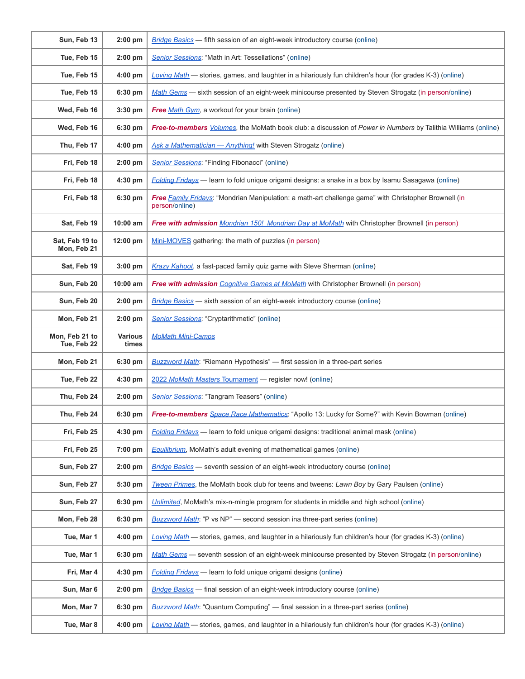| Sun, Feb 13                   | $2:00$ pm               | <b>Bridge Basics</b> — fifth session of an eight-week introductory course (online)                                                  |
|-------------------------------|-------------------------|-------------------------------------------------------------------------------------------------------------------------------------|
| Tue, Feb 15                   | $2:00$ pm               | Senior Sessions: "Math in Art: Tessellations" (online)                                                                              |
| Tue, Feb 15                   | $4:00$ pm               | Loving Math — stories, games, and laughter in a hilariously fun children's hour (for grades K-3) (online)                           |
| Tue, Feb 15                   | 6:30 pm                 | Math Gems - sixth session of an eight-week minicourse presented by Steven Strogatz (in person/online)                               |
| Wed, Feb 16                   | 3:30 pm                 | Free Math Gym, a workout for your brain (online)                                                                                    |
| Wed, Feb 16                   | 6:30 pm                 | <b>Free-to-members</b> <i>Volumes</i> , the MoMath book club: a discussion of <i>Power in Numbers</i> by Talithia Williams (online) |
| Thu, Feb 17                   | 4:00 pm                 | Ask a Mathematician - Anything! with Steven Strogatz (online)                                                                       |
| Fri, Feb 18                   | $2:00$ pm               | Senior Sessions: "Finding Fibonacci" (online)                                                                                       |
| Fri, Feb 18                   | $4:30$ pm               | Folding Fridays - learn to fold unique origami designs: a snake in a box by Isamu Sasagawa (online)                                 |
| Fri, Feb 18                   | 6:30 pm                 | Free Family Fridays: "Mondrian Manipulation: a math-art challenge game" with Christopher Brownell (in<br>person/online)             |
| Sat, Feb 19                   | $10:00$ am              | <b>Free with admission</b> Mondrian 150! Mondrian Day at MoMath with Christopher Brownell (in person)                               |
| Sat, Feb 19 to<br>Mon, Feb 21 | 12:00 pm                | Mini-MOVES gathering: the math of puzzles (in person)                                                                               |
| Sat, Feb 19                   | 3:00 pm                 | Krazy Kahoot, a fast-paced family quiz game with Steve Sherman (online)                                                             |
| Sun, Feb 20                   | $10:00$ am              | Free with admission Cognitive Games at MoMath with Christopher Brownell (in person)                                                 |
| Sun, Feb 20                   | $2:00$ pm               | Bridge Basics — sixth session of an eight-week introductory course (online)                                                         |
| Mon, Feb 21                   | $2:00$ pm               | Senior Sessions: "Cryptarithmetic" (online)                                                                                         |
| Mon, Feb 21 to<br>Tue, Feb 22 | <b>Various</b><br>times | <b>MoMath Mini-Camps</b>                                                                                                            |
| Mon, Feb 21                   | 6:30 pm                 | <b>Buzzword Math:</b> "Riemann Hypothesis" — first session in a three-part series                                                   |
| Tue, Feb 22                   | 4:30 pm                 | 2022 MoMath Masters Tournament - register now! (online)                                                                             |
| Thu, Feb 24                   | $2:00$ pm               | Senior Sessions: "Tangram Teasers" (online)                                                                                         |
| Thu, Feb 24                   | 6:30 pm                 | <b>Free-to-members</b> Space Race Mathematics: "Apollo 13: Lucky for Some?" with Kevin Bowman (online)                              |
| Fri, Feb 25                   | 4:30 pm                 | Folding Fridays - learn to fold unique origami designs: traditional animal mask (online)                                            |
| Fri, Feb 25                   | 7:00 pm                 | <b>Equilibrium</b> , MoMath's adult evening of mathematical games (online)                                                          |
| Sun, Feb 27                   | $2:00$ pm               | <b>Bridge Basics</b> - seventh session of an eight-week introductory course (online)                                                |
| Sun, Feb 27                   | 5:30 pm                 | Tween Primes, the MoMath book club for teens and tweens: Lawn Boy by Gary Paulsen (online)                                          |
| Sun, Feb 27                   | 6:30 pm                 | Unlimited, MoMath's mix-n-mingle program for students in middle and high school (online)                                            |
| Mon, Feb 28                   | 6:30 pm                 | <b>Buzzword Math:</b> "P vs NP" — second session ina three-part series (online)                                                     |
| Tue, Mar 1                    | 4:00 pm                 | Loving Math - stories, games, and laughter in a hilariously fun children's hour (for grades K-3) (online)                           |
| Tue, Mar 1                    | 6:30 pm                 | Math Gems - seventh session of an eight-week minicourse presented by Steven Strogatz (in person/online)                             |
| Fri, Mar 4                    | 4:30 pm                 | <b>Folding Fridays</b> - learn to fold unique origami designs (online)                                                              |
| Sun, Mar 6                    | $2:00$ pm               | <b>Bridge Basics</b> — final session of an eight-week introductory course (online)                                                  |
| Mon, Mar 7                    | 6:30 pm                 | <b>Buzzword Math:</b> "Quantum Computing" — final session in a three-part series (online)                                           |
| Tue, Mar 8                    | 4:00 pm                 | Loving Math — stories, games, and laughter in a hilariously fun children's hour (for grades K-3) (online)                           |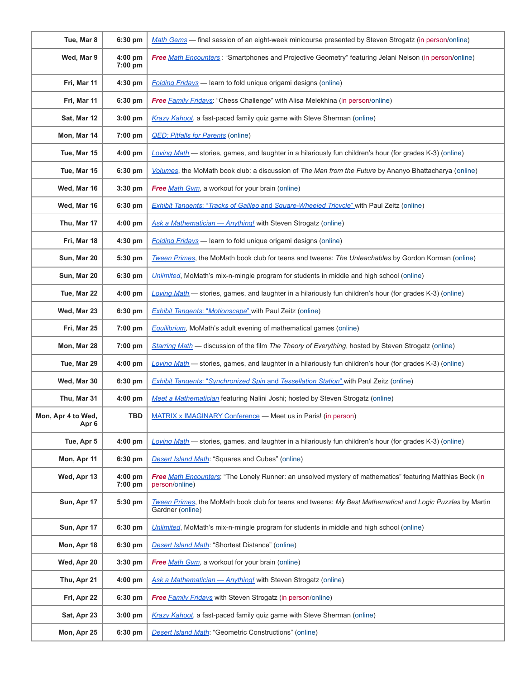| Tue, Mar 8                             | 6:30 pm              | Math Gems - final session of an eight-week minicourse presented by Steven Strogatz (in person/online)                         |
|----------------------------------------|----------------------|-------------------------------------------------------------------------------------------------------------------------------|
| Wed, Mar 9                             | $4:00$ pm<br>7:00 pm | Free Math Encounters: "Smartphones and Projective Geometry" featuring Jelani Nelson (in person/online)                        |
| Fri, Mar 11                            | 4:30 pm              | <b>Folding Fridays</b> - learn to fold unique origami designs (online)                                                        |
| Fri, Mar 11                            | 6:30 pm              | <b>Free Family Fridays:</b> "Chess Challenge" with Alisa Melekhina (in person/online)                                         |
| Sat, Mar 12                            | 3:00 pm              | Krazy Kahoot, a fast-paced family quiz game with Steve Sherman (online)                                                       |
| Mon, Mar 14                            | 7:00 pm              | <b>QED: Pitfalls for Parents (online)</b>                                                                                     |
| Tue, Mar 15                            | 4:00 pm              | Loving Math - stories, games, and laughter in a hilariously fun children's hour (for grades K-3) (online)                     |
| Tue, Mar 15                            | 6:30 pm              | Volumes, the MoMath book club: a discussion of The Man from the Future by Ananyo Bhattacharya (online)                        |
| Wed, Mar 16                            | $3:30$ pm            | Free Math Gym, a workout for your brain (online)                                                                              |
| Wed, Mar 16                            | 6:30 pm              | <b>Exhibit Tangents: "Tracks of Galileo and Square-Wheeled Tricycle"</b> with Paul Zeitz (online)                             |
| Thu, Mar 17                            | 4:00 pm              | Ask a Mathematician - Anything! with Steven Strogatz (online)                                                                 |
| Fri, Mar 18                            | 4:30 pm              | <b>Folding Fridays</b> - learn to fold unique origami designs (online)                                                        |
| Sun, Mar 20                            | 5:30 pm              | Tween Primes, the MoMath book club for teens and tweens: The Unteachables by Gordon Korman (online)                           |
| Sun, Mar 20                            | 6:30 pm              | Unlimited, MoMath's mix-n-mingle program for students in middle and high school (online)                                      |
| Tue, Mar 22                            | 4:00 pm              | Loving Math - stories, games, and laughter in a hilariously fun children's hour (for grades K-3) (online)                     |
| Wed, Mar 23                            | 6:30 pm              | <b>Exhibit Tangents: "Motionscape"</b> with Paul Zeitz (online)                                                               |
| Fri, Mar 25                            | 7:00 pm              | <b>Equilibrium</b> , MoMath's adult evening of mathematical games (online)                                                    |
| Mon, Mar 28                            | 7:00 pm              | Starring Math - discussion of the film The Theory of Everything, hosted by Steven Strogatz (online)                           |
| Tue, Mar 29                            | 4:00 pm              | Loving Math - stories, games, and laughter in a hilariously fun children's hour (for grades K-3) (online)                     |
| Wed, Mar 30                            | 6:30 pm              | <b>Exhibit Tangents: "Synchronized Spin and Tessellation Station" with Paul Zeitz (online)</b>                                |
| Thu, Mar 31                            | 4:00 pm              | Meet a Mathematician featuring Nalini Joshi; hosted by Steven Strogatz (online)                                               |
| Mon, Apr 4 to Wed,<br>Apr <sub>6</sub> | <b>TBD</b>           | MATRIX x IMAGINARY Conference - Meet us in Paris! (in person)                                                                 |
| Tue, Apr 5                             | $4:00$ pm            | Loving Math — stories, games, and laughter in a hilariously fun children's hour (for grades K-3) (online)                     |
| Mon, Apr 11                            | 6:30 pm              | <b>Desert Island Math:</b> "Squares and Cubes" (online)                                                                       |
| Wed, Apr 13                            | 4:00 pm<br>7:00 pm   | Free Math Encounters: "The Lonely Runner: an unsolved mystery of mathematics" featuring Matthias Beck (in<br>person/online)   |
| Sun, Apr 17                            | 5:30 pm              | Tween Primes, the MoMath book club for teens and tweens: My Best Mathematical and Logic Puzzles by Martin<br>Gardner (online) |
| Sun, Apr 17                            | 6:30 pm              | Unlimited. MoMath's mix-n-mingle program for students in middle and high school (online)                                      |
| Mon, Apr 18                            | 6:30 pm              | <b>Desert Island Math:</b> "Shortest Distance" (online)                                                                       |
| Wed, Apr 20                            | $3:30$ pm            | <b>Free Math Gym, a workout for your brain (online)</b>                                                                       |
| Thu, Apr 21                            | 4:00 pm              | Ask a Mathematician - Anything! with Steven Strogatz (online)                                                                 |
| Fri, Apr 22                            | 6:30 pm              | Free Family Fridays with Steven Strogatz (in person/online)                                                                   |
| Sat, Apr 23                            | $3:00$ pm            | Krazy Kahoot, a fast-paced family quiz game with Steve Sherman (online)                                                       |
| Mon, Apr 25                            | 6:30 pm              | <b>Desert Island Math:</b> "Geometric Constructions" (online)                                                                 |